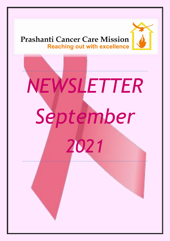



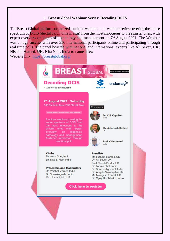#### **1. BreastGlobal Webinar Series: Decoding DCIS**

The Breast Global platform organized a unique webinar in its webinar series covering the entire spectrum of **DCIS** (ductal carcinoma in situ) from the most innocuous to the sinister ones, with expert overview on diagnosis, pathology and management on  $7<sup>th</sup>$  August 2021. The Webinar was a huge success with over 350 international participants online and participating through real time polls. The panel boasted with national and international experts like Ali Sever, UK; Hisham Hamed, UK; Nita Nair, India to name a few.

Website link:<https://breastglobal.org/>

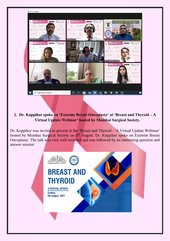

# **2. Dr. Koppiker spoke on 'Extreme Breast Oncoplasty' at 'Breast and Thyroid – A Virtual Update Webinar' hosted by Mumbai Surgical Society.**

Dr. Koppiker was invited to present at the 'Breast and Thyroid – A Virtual Update Webinar' hosted by Mumbai Surgical Society on 8<sup>th</sup> August. Dr. Koppiker spoke on Extreme Breast Oncoplasty. The talk was very well received and was followed by an interesting question and answer session

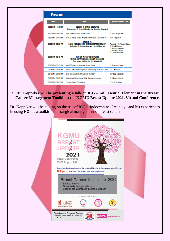| <b>Program</b>      |                                                                                                                              |                                                                                                                             |
|---------------------|------------------------------------------------------------------------------------------------------------------------------|-----------------------------------------------------------------------------------------------------------------------------|
| <b>TIME</b>         | <b>TOPIC</b>                                                                                                                 | <b>SPEAKER / PANELLIST</b>                                                                                                  |
| 12:50 PM - 01:20 PM | <b>SESSION V: INVITED LECTURES</b><br>Chairperson: Dr. Prachi Mahajan, Dr. Rajendra Gameriwal                                |                                                                                                                             |
| 12:50 PM - 01:05 PM | Triple Assessment For Breast Lump                                                                                            | Dr. Gaurav Agarwal                                                                                                          |
| 01:05 PM - 01:20 PM | Abc's Of Benign Breast Diseases! What To Do & What Not ?                                                                     | Dr. P. Raghuram                                                                                                             |
| 01:25 PM - 02:00 PM | <b>SES SIGN VI:</b><br>PANEL DISCUSSION ON "BENIGN BREAST DISEASES"<br>Moderator: Dr Mranjan Agarwal, Dr Aditi Agarwal       | Panelists : Dr. Rajashri Kelkar.<br>Dr. Anjal Dhawale,<br>Dr. Anurag Srivastava.<br>Dr. Kumkum Singh,<br>Dr. Jayashn Pandya |
| 02:05 PM - 03:45 PM | <b>SESSION VI: INVITED LECTURES</b><br>"CHANGING PAR ADIGM IN BREAST SURGERIES"<br>Chairperson: Dr Nita Nair, Dr Abhay Dalvi |                                                                                                                             |
| 02:05 PM - 02:25 PM | Role Of Surgery In Metastatic Breast Cancer                                                                                  | Dr. Ralendra Badwe                                                                                                          |
| 02:25 PM - 02:45 PM | My the & Facts Regarding Bos & Mastectomy For Breast Cancer Dr. Chintamani                                                   |                                                                                                                             |
| 02:45 PM - 03:05 PM | Basic Oncodastic Techniques For Beginner                                                                                     | Dr. Yazan Masannat                                                                                                          |
| 03:05 PM - 03:25 PM | Contralateral Mastectomy, I Risk Reducing Surgeries                                                                          | Dr. Hsham Hamed                                                                                                             |
| 03:25 PM - 03:45 PM | Extreme Breast Oncoplasty                                                                                                    | Dr. C. B. Koppiker                                                                                                          |

**3. Dr. Koppiker will be presenting a talk on ICG – An Essential Element in the Breast Cancer Management Toolkit at the KGMU Breast Update 2021, Virtual Conference.**

Dr. Koppiker will be talking on the use of ICG – Indocyanine Green dye and his experiences in using ICG as a toolkit in the surgical management of breast cancer.

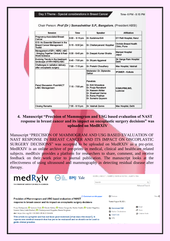| Session                                                                                       | <b>Time</b>      | <b>Speaker</b>                                                                                                                                | <b>Affiliation</b>                           |  |
|-----------------------------------------------------------------------------------------------|------------------|-----------------------------------------------------------------------------------------------------------------------------------------------|----------------------------------------------|--|
| Pregnancy-Associated Breast<br>Cancer                                                         | $6:00 - 6:15$ pm | Dr. Karishma Kirti                                                                                                                            | DY Patil Hospital, Nerul                     |  |
| ICG: An Essential Element in the<br><b>Breast Cancer Management</b><br><b>Toolkit</b>         | 6:15 - 6:30 pm   | Dr. Chaitanyanand Koppiker                                                                                                                    | <b>Orchids Breast Health</b><br>Clinic, Pune |  |
| Management of ER+, HER2-mBC<br>: Bringing Together Clinical & Real -<br><b>World Evidence</b> | 6:30 - 6:45 pm   | Dr. Deepak Kumar Shukla                                                                                                                       | <b>Manipal Hosptial</b><br>Jaipur            |  |
| <b>Evolving Trends in the treatment</b><br>landscape of HR+/HER2-ABC                          | 6:45 - 7:00 pm   | Dr. Shyam Aggarwal                                                                                                                            | Sir Ganga Ram Hospital<br>Delhi              |  |
| Challenges in radiation delivery<br>after oncoplastic surgery                                 | 7:00 - 7:15 pm   | Dr. Prekshi Chaudhary                                                                                                                         | Max Hospital, Vaishali                       |  |
|                                                                                               | 7:15 - 7:55 pm   | Moderator: Dr. Diptendra<br>Sarkar                                                                                                            | <b>IPGMER - Kolkata</b>                      |  |
| Panel Discussion: Post-NACT<br><b>LABC Management</b>                                         |                  | Panelists:<br>Dr. Kirti Srivastava<br>Dr. Pooja Ramakant<br>Dr. Naseem Akhtar<br>Dr. Shashwat Verma<br>Dr. Roma Pradhan<br>Dr. Sumaira Quyoom | <b>KGMU/RMLIMS,</b><br>Lucknow               |  |
| <b>Closing Remarks</b>                                                                        | 7:55 - 8:15 pm   | Dr. Vaishali Zamre                                                                                                                            | Max Hospital, Delhi                          |  |

Chair Person: Prof (Dr) Somashekhar S.P., Bangalore, (President ABSI)

#### **4. Manuscript "Precision of Mammogram and USG based evaluation of NAST response in breast cancer and its impact on oncoplastic surgery decisions" was uploaded on MedRXIV**

Manuscript "PRECISION OF MAMMOGRAM AND USG BASED EVALUATION OF NAST RESPONSE IN BREAST CANCER AND ITS IMPACT ON ONCOPLASTIC SURGERY DECISIONS" was accepted to be uploaded on MedRXIV as a pre-print. MedRXIV is an online archive of pre-prints in medical, clinical and healthcare related subjects. medRxiv provides a platform for researchers to share, comment, and receive feedback on their work prior to journal publication. The manuscript looks at the effectiveness of using ultrasound and mammography in detecting residual disease after therapy.

| $medR$ <i>x</i> iv                                                                                                                                                                                                                                                                                                                                                                                                                                                                                                                                                                                            | Spring<br>Harbor                          | <b>BMJ</b> Yale                                                                                                                | HOME   ABOUT   SUBMIT  NEWS & NOTES   ALERTS / RSS                       |                 |                        |  |
|---------------------------------------------------------------------------------------------------------------------------------------------------------------------------------------------------------------------------------------------------------------------------------------------------------------------------------------------------------------------------------------------------------------------------------------------------------------------------------------------------------------------------------------------------------------------------------------------------------------|-------------------------------------------|--------------------------------------------------------------------------------------------------------------------------------|--------------------------------------------------------------------------|-----------------|------------------------|--|
| THE PREPRINT SERVER FOR HEALTH SCIENCES                                                                                                                                                                                                                                                                                                                                                                                                                                                                                                                                                                       |                                           |                                                                                                                                | Search                                                                   |                 | <b>Advanced Search</b> |  |
| Precision of Mammogram and USG based evaluation of NAST<br>response in breast cancer and its impact on oncoplastic surgery decisions<br>Pooja Deshpande, <b>@</b> Santosh Dixit, <b>@</b> Devaki Kelkar, <b>@</b> Nutan Gangurde, Shahin Shaikh, @ Sanket Nagarkar,<br>Smeeta Nare, Laleh Busheri, C Chaitanyanand Koppiker, Beenu Varghese<br>doi: https://doi.org/10.1101/2021.08.06.21261694<br>This article is a preprint and has not been peer-reviewed [what does this mean?]. It<br>reports new medical research that has yet to be evaluated and so should not be used to<br>guide clinical practice. | $\circlearrowright$ Comment on this paper | <b>C</b> Previous<br>Posted August 08, 2021.<br><b>Download PDF</b><br>Author Declarations<br><b>Data/Code</b><br><b>E</b> XML | $\triangleright$ Email<br>$\rightarrow$ Share<br><b>C</b> Citation Tools | Next $\epsilon$ |                        |  |
|                                                                                                                                                                                                                                                                                                                                                                                                                                                                                                                                                                                                               |                                           |                                                                                                                                |                                                                          |                 |                        |  |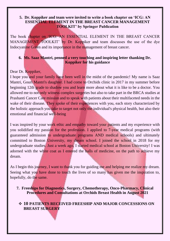#### **5. Dr. Koppiker and team were invited to write a book chapter on 'ICG: AN ESSENTIAL ELEMENT IN THE BREAST CANCER MANAGEMENT TOOLKIT' by Springer Publication**

The book chapter on 'ICG: AN ESSENTIAL ELEMENT IN THE BREAST CANCER MANAGEMENT TOOLKIT' by Dr. Koppiker and team discusses the use of the dye Indocyanine Green and its importance in the management of breast cancer.

#### **6. Ms. Saaz Mantri, penned a very touching and inspiring letter thanking Dr. Koppiker for his guidance**

#### Dear Dr. Koppiker,

I hope you and your family have been well in the midst of the pandemic! My name is Saaz Mantri, Gouri Mantri's daughter. I had come to Orchids clinic in 2017 in my summer before beginning 12th grade to shadow you and learn more about what it is like to be a doctor. You allowed me to not only witness complex surgeries but also to take part in the BRCA studies at Prashanti Cancer Care mission and to speak with patients about their multifaceted needs in the wake of their disease. They spoke of their experiences with you, each story characterized by the holistic approach you take to target not only the individual's physical health, but also their emotional and financial well-being

I was inspired by your work ethic and empathy toward your patients and my experience with you solidified my passion for the profession. I applied to 7-year medical programs (with guaranteed admission to undergraduate programs AND medical schools) and ultimately committed to Boston University, my dream school. I joined the school in 2018 for my undergraduate studies. Just a week ago, I started medical school at Boston University! I was adorned with the white coat as I entered the halls of medicine, on the path to achieve my dream.

As I begin this journey, I want to thank you for guiding me and helping me realize my dream. Seeing what you have done to touch the lives of so many has given me the inspiration to, hopefully, do the same.

**7. Freeships for Diagnostics, Surgery, Chemotherapy, Onco-Pharmacy, Clinical Procedures and Consultations at Orchids Breast Health in August 2021**

## ❖ **10 PATIENTS RECEIVED FREESHIP AND MAJOR CONCESSIONS ON BREAST SURGERY**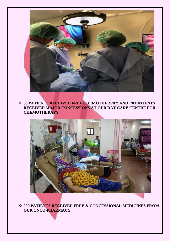

❖ **30 PATIENTS RECEIVED FREE CHEMOTHERPAY AND 70 PATIENTS RECEIVED MAJOR CONCESSIONS AT OUR DAY CARE CENTRE FOR CHEMOTHERAPY**



❖ **200 PATIENTS RECEIVED FREE & CONCESSIONAL MEDICINES FROM OUR ONCO-PHARMACY**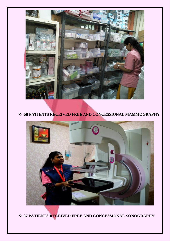

# ❖ **68 PATIENTS RECEIVED FREE AND CONCESSIONAL MAMMOGRAPHY**



❖ **87 PATIENTS RECEIVED FREE AND CONCESSIONAL SONOGRAPHY**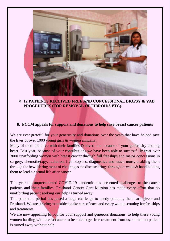

#### ❖ **12 PATIENTS RECEIVED FREE AND CONCESSIONAL BIOPSY & VAB PROCEDURES (FOR REMOVAL OF FIBROIDS ETC).**

#### **8. PCCM appeals for support and donations to help save breast cancer patients**

We are ever grateful for your generosity and donations over the years that have helped save the lives of over 1000 young girls & women annually.

Many of them are alive with their families & loved one because of your generosity and big heart. Last year, because of your contributions we have been able to successfully treat over 3000 unaffording women with breast cancer through full freeships and major concessions in surgery, chemotherapy, radiation, free biopsies, diagnostics and much more, enabling them through the bewildering maze of challenges the disease brings through its wake & hand holding them to lead a normal life after cancer.

This year the unprecedented COVID-19 pandemic has presented challenges to the cancer patients and their families. Prashanti Cancer Care Mission has made every effort that no unaffording patient seeking our help is turned away.

This pandemic period has posed a huge challenge to needy patients, their care givers and Prashanti. We are striving to be able to take care of each and every woman coming for freeships and treatments.

We are now appealing to you for your support and generous donations, to help these young women battling with breast cancer to be able to get free treatment from us, so that no patient is turned away without help.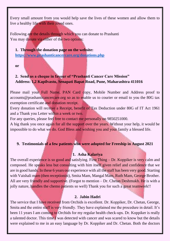Every small amount from you would help save the lives of these women and allow them to live a healthy life with their loved ones.

Following are the details through which you can donate to Prashanti You may donate via either of the two options:

**1. Through the donation page on the website: <https://www.prashanticancercare.org/donations.php>**

**or**

# **2. Send us a cheque in favour of "Prashanti Cancer Care Mission" Address: 1,2 Kapilvastu, Senapati Bapat Road, Pune, Maharashtra 411016**

Please mail your Full Name, PAN Card copy, Mobile Number and Address proof to accounts@prashanticancercare.org so as to enable us to courier or email to you the 80G tax exemption certificate and donation receipt.

Every donation will receive a Receipt, benefit of Tax Deduction under 80G of IT Act 1961 and a Thank you Letter within a week or two.

For any queries, please feel free to contact me personally on 9850251000.

A big thank you once again for all the support over the years. Without your help, it would be impossible to do what we do. God Bless and wishing you and your family a blessed life.

## **9. Testimonials of a few patients who were adopted for Freeship in August 2021**

## **1. Asha Kalariya**

The overall experience is so good and satisfying. First Thing – Dr. Koppiker is very calm and composed. He speaks less but consulting with him itself given relief and confidence that we are in good hands. In these 6 years our experience with all the staff has been very good. Starting with Vaishali mam (then receptionist), Smita Mam, Mangal Mam, Ruth Mam, George Brother. All are very friendly and supportive. (Forgot to mention – Dr. Chetan Deshmukh. He is with a jolly nature, handles the chemo patients so well) Thank you for such a great teamwork!!

## **2. Jabin Hadri**

The service that I have received from Orchids is excellent. Dr. Koppiker, Dr. Chetan, George, Smita and the entire staff is very friendly. They have explained me the procedure in detail. It's been 11 years I am coming to Orchids for my regular health check-ups. Dr. Koppiker is really a talented doctor. This time I was detected with cancer and was scared to know but the details were explained to me in an easy language by Dr. Koppiker and Dr. Chetan. Both the doctors